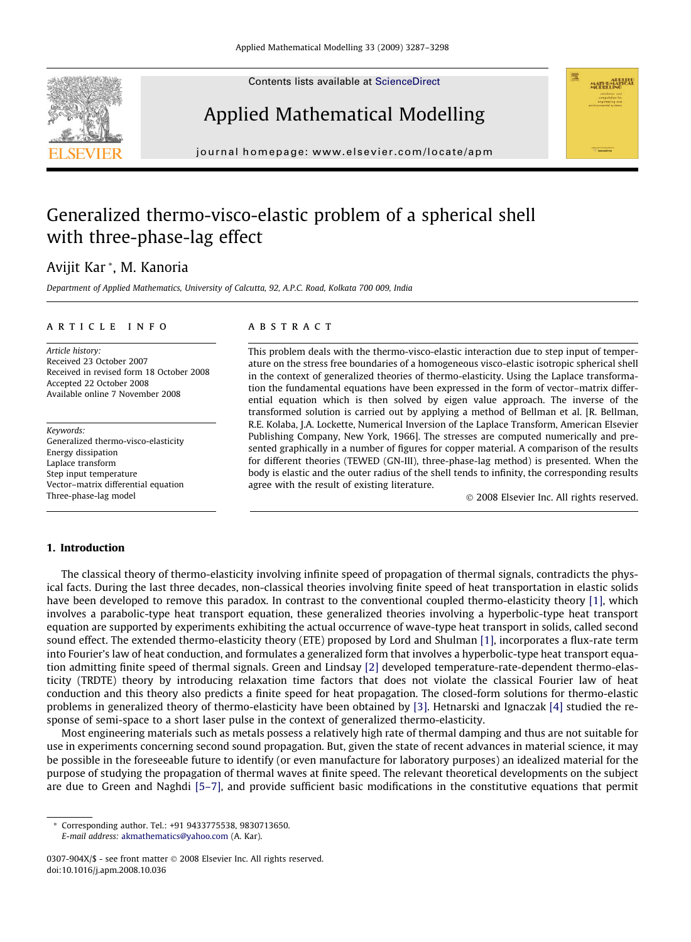Contents lists available at [ScienceDirect](http://www.sciencedirect.com/science/journal/0307904X)





journal homepage: [www.elsevier.com/locate/apm](http://www.elsevier.com/locate/apm)

# Generalized thermo-visco-elastic problem of a spherical shell with three-phase-lag effect

## Avijit Kar \*, M. Kanoria

*Department of Applied Mathematics, University of Calcutta, 92, A.P.C. Road, Kolkata 700 009, India*

#### article info

*Article history:* Received 23 October 2007 Received in revised form 18 October 2008 Accepted 22 October 2008 Available online 7 November 2008

*Keywords:* Generalized thermo-visco-elasticity Energy dissipation Laplace transform Step input temperature Vector–matrix differential equation Three-phase-lag model

## **ABSTRACT**

This problem deals with the thermo-visco-elastic interaction due to step input of temperature on the stress free boundaries of a homogeneous visco-elastic isotropic spherical shell in the context of generalized theories of thermo-elasticity. Using the Laplace transformation the fundamental equations have been expressed in the form of vector–matrix differential equation which is then solved by eigen value approach. The inverse of the transformed solution is carried out by applying a method of Bellman et al. [R. Bellman, R.E. Kolaba, J.A. Lockette, Numerical Inversion of the Laplace Transform, American Elsevier Publishing Company, New York, 1966]. The stresses are computed numerically and presented graphically in a number of figures for copper material. A comparison of the results for different theories (TEWED (GN-III), three-phase-lag method) is presented. When the body is elastic and the outer radius of the shell tends to infinity, the corresponding results agree with the result of existing literature.

 $©$  2008 Elsevier Inc. All rights reserved.

### 1. Introduction

The classical theory of thermo-elasticity involving infinite speed of propagation of thermal signals, contradicts the physical facts. During the last three decades, non-classical theories involving finite speed of heat transportation in elastic solids have been developed to remove this paradox. In contrast to the conventional coupled thermo-elasticity theory [\[1\]](#page-10-0), which involves a parabolic-type heat transport equation, these generalized theories involving a hyperbolic-type heat transport equation are supported by experiments exhibiting the actual occurrence of wave-type heat transport in solids, called second sound effect. The extended thermo-elasticity theory (ETE) proposed by Lord and Shulman [\[1\]](#page-10-0), incorporates a flux-rate term into Fourier's law of heat conduction, and formulates a generalized form that involves a hyperbolic-type heat transport equation admitting finite speed of thermal signals. Green and Lindsay [\[2\]](#page-10-0) developed temperature-rate-dependent thermo-elasticity (TRDTE) theory by introducing relaxation time factors that does not violate the classical Fourier law of heat conduction and this theory also predicts a finite speed for heat propagation. The closed-form solutions for thermo-elastic problems in generalized theory of thermo-elasticity have been obtained by [\[3\].](#page-10-0) Hetnarski and Ignaczak [\[4\]](#page-10-0) studied the response of semi-space to a short laser pulse in the context of generalized thermo-elasticity.

Most engineering materials such as metals possess a relatively high rate of thermal damping and thus are not suitable for use in experiments concerning second sound propagation. But, given the state of recent advances in material science, it may be possible in the foreseeable future to identify (or even manufacture for laboratory purposes) an idealized material for the purpose of studying the propagation of thermal waves at finite speed. The relevant theoretical developments on the subject are due to Green and Naghdi [\[5–7\]](#page-10-0), and provide sufficient basic modifications in the constitutive equations that permit

<sup>\*</sup> Corresponding author. Tel.: +91 9433775538, 9830713650. *E-mail address:* [akmathematics@yahoo.com](mailto:akmathematics@yahoo.com) (A. Kar).

<sup>0307-904</sup>X/\$ - see front matter © 2008 Elsevier Inc. All rights reserved. doi:10.1016/j.apm.2008.10.036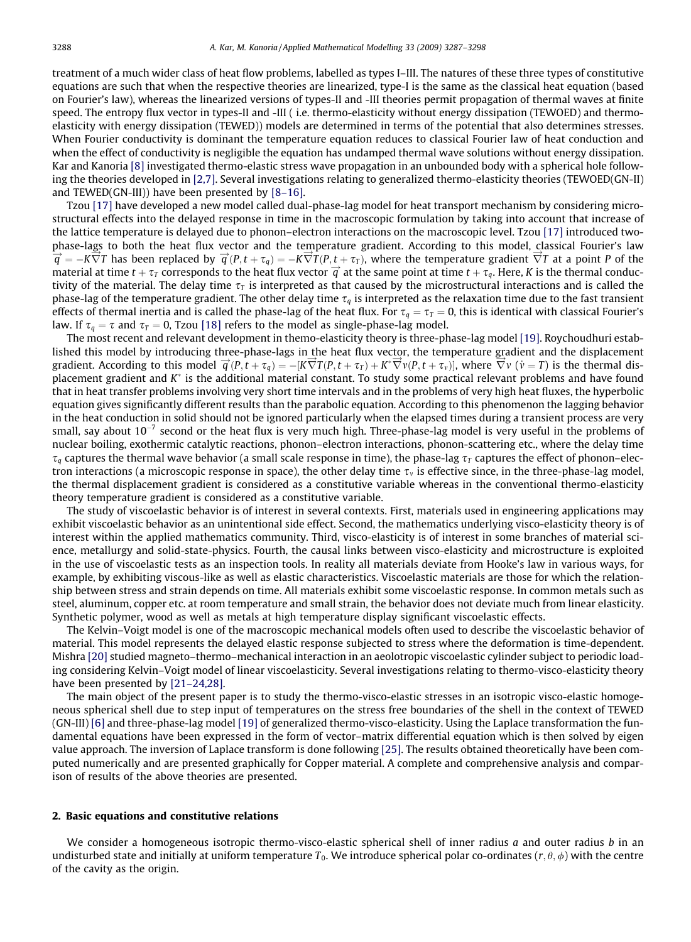treatment of a much wider class of heat flow problems, labelled as types I–III. The natures of these three types of constitutive equations are such that when the respective theories are linearized, type-I is the same as the classical heat equation (based on Fourier's law), whereas the linearized versions of types-II and -III theories permit propagation of thermal waves at finite speed. The entropy flux vector in types-II and -III ( i.e. thermo-elasticity without energy dissipation (TEWOED) and thermoelasticity with energy dissipation (TEWED)) models are determined in terms of the potential that also determines stresses. When Fourier conductivity is dominant the temperature equation reduces to classical Fourier law of heat conduction and when the effect of conductivity is negligible the equation has undamped thermal wave solutions without energy dissipation. Kar and Kanoria [\[8\]](#page-10-0) investigated thermo-elastic stress wave propagation in an unbounded body with a spherical hole following the theories developed in [\[2,7\].](#page-10-0) Several investigations relating to generalized thermo-elasticity theories (TEWOED(GN-II) and TEWED(GN-III)) have been presented by [\[8–16\].](#page-10-0)

Tzou [\[17\]](#page-11-0) have developed a new model called dual-phase-lag model for heat transport mechanism by considering microstructural effects into the delayed response in time in the macroscopic formulation by taking into account that increase of the lattice temperature is delayed due to phonon–electron interactions on the macroscopic level. Tzou [\[17\]](#page-11-0) introduced twophase-lags to both the heat flux vector and the temperature gradient. According to this model, classical Fourier's law  $\vec{q} = -K\vec{\nabla}T$  has been replaced by  $\vec{q}(P, t + \tau_q) = -K\vec{\nabla}T(P, t + \tau_q)$ , where the temperature gradient  $\vec{\nabla}T$  at a point *P* of the material at time  $t + \tau$  corresponds to the heat flux vector  $\vec{q}$  at the same point at time  $t + \tau_q$ . Here, *K* is the thermal conductivity of the material. The delay time  $\tau<sub>T</sub>$  is interpreted as that caused by the microstructural interactions and is called the phase-lag of the temperature gradient. The other delay time  $\tau_q$  is interpreted as the relaxation time due to the fast transient effects of thermal inertia and is called the phase-lag of the heat flux. For  $\tau_q = \tau_T = 0$ , this is identical with classical Fourier's law. If  $\tau_q = \tau$  and  $\tau_T = 0$ , Tzou [\[18\]](#page-11-0) refers to the model as single-phase-lag model.

The most recent and relevant development in themo-elasticity theory is three-phase-lag model [\[19\]](#page-11-0). Roychoudhuri established this model by introducing three-phase-lags in the heat flux vector, the temperature gradient and the displacement gradient. According to this model  $\vec{q}(P, t + \tau_q) = -[K\vec{\nabla}T(P, t + \tau_T) + K^*\vec{\nabla}v(P, t + \tau_y)],$  where  $\vec{\nabla}v(v = T)$  is the thermal displacement gradient and K<sup>\*</sup> is the additional material constant. To study some practical relevant problems and have found that in heat transfer problems involving very short time intervals and in the problems of very high heat fluxes, the hyperbolic equation gives significantly different results than the parabolic equation. According to this phenomenon the lagging behavior in the heat conduction in solid should not be ignored particularly when the elapsed times during a transient process are very small, say about  $10^{-7}$  second or the heat flux is very much high. Three-phase-lag model is very useful in the problems of nuclear boiling, exothermic catalytic reactions, phonon–electron interactions, phonon-scattering etc., where the delay time  $\tau_q$  captures the thermal wave behavior (a small scale response in time), the phase-lag  $\tau_T$  captures the effect of phonon–electron interactions (a microscopic response in space), the other delay time  $\tau_y$  is effective since, in the three-phase-lag model, the thermal displacement gradient is considered as a constitutive variable whereas in the conventional thermo-elasticity theory temperature gradient is considered as a constitutive variable.

The study of viscoelastic behavior is of interest in several contexts. First, materials used in engineering applications may exhibit viscoelastic behavior as an unintentional side effect. Second, the mathematics underlying visco-elasticity theory is of interest within the applied mathematics community. Third, visco-elasticity is of interest in some branches of material science, metallurgy and solid-state-physics. Fourth, the causal links between visco-elasticity and microstructure is exploited in the use of viscoelastic tests as an inspection tools. In reality all materials deviate from Hooke's law in various ways, for example, by exhibiting viscous-like as well as elastic characteristics. Viscoelastic materials are those for which the relationship between stress and strain depends on time. All materials exhibit some viscoelastic response. In common metals such as steel, aluminum, copper etc. at room temperature and small strain, the behavior does not deviate much from linear elasticity. Synthetic polymer, wood as well as metals at high temperature display significant viscoelastic effects.

The Kelvin–Voigt model is one of the macroscopic mechanical models often used to describe the viscoelastic behavior of material. This model represents the delayed elastic response subjected to stress where the deformation is time-dependent. Mishra [\[20\]](#page-11-0) studied magneto–thermo–mechanical interaction in an aeolotropic viscoelastic cylinder subject to periodic loading considering Kelvin–Voigt model of linear viscoelasticity. Several investigations relating to thermo-visco-elasticity theory have been presented by [\[21–24,28\].](#page-11-0)

The main object of the present paper is to study the thermo-visco-elastic stresses in an isotropic visco-elastic homogeneous spherical shell due to step input of temperatures on the stress free boundaries of the shell in the context of TEWED (GN-III) [\[6\]](#page-10-0) and three-phase-lag model [\[19\]](#page-11-0) of generalized thermo-visco-elasticity. Using the Laplace transformation the fundamental equations have been expressed in the form of vector–matrix differential equation which is then solved by eigen value approach. The inversion of Laplace transform is done following [\[25\]](#page-11-0). The results obtained theoretically have been computed numerically and are presented graphically for Copper material. A complete and comprehensive analysis and comparison of results of the above theories are presented.

#### 2. Basic equations and constitutive relations

We consider a homogeneous isotropic thermo-visco-elastic spherical shell of inner radius *a* and outer radius *b* in an undisturbed state and initially at uniform temperature  $T_0$ . We introduce spherical polar co-ordinates  $(r, \theta, \phi)$  with the centre of the cavity as the origin.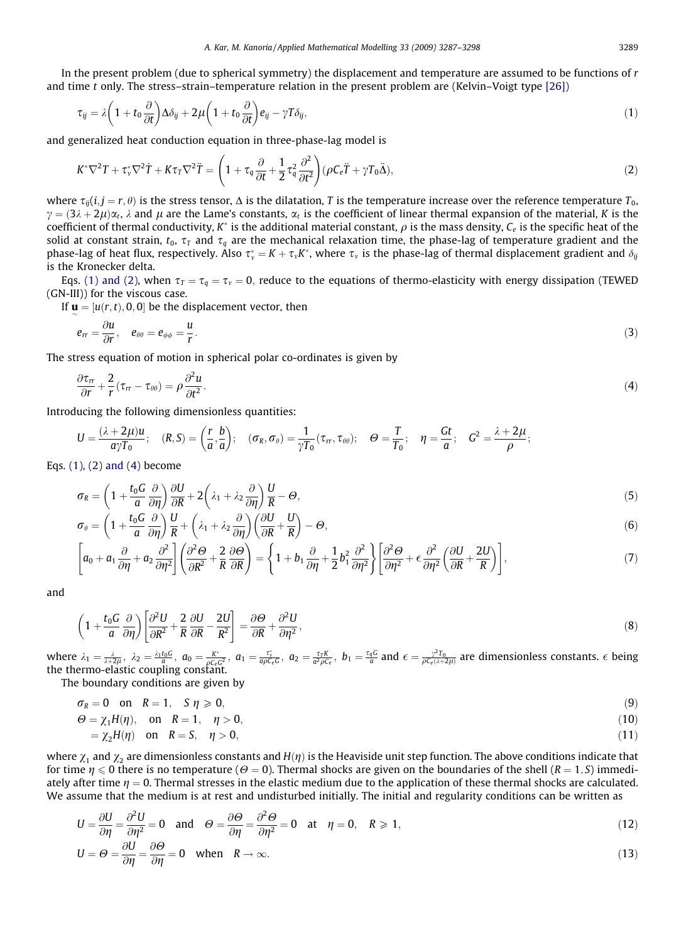<span id="page-2-0"></span>In the present problem (due to spherical symmetry) the displacement and temperature are assumed to be functions of *r* and time *t* only. The stress–strain–temperature relation in the present problem are (Kelvin–Voigt type [\[26\]\)](#page-11-0)

$$
\tau_{ij} = \lambda \left( 1 + t_0 \frac{\partial}{\partial t} \right) \Delta \delta_{ij} + 2 \mu \left( 1 + t_0 \frac{\partial}{\partial t} \right) e_{ij} - \gamma T \delta_{ij}, \tag{1}
$$

and generalized heat conduction equation in three-phase-lag model is

$$
K^*\nabla^2 T + \tau_\nu^*\nabla^2 \dot{T} + K\tau_T\nabla^2 \ddot{T} = \left(1 + \tau_q \frac{\partial}{\partial t} + \frac{1}{2}\tau_q^2 \frac{\partial^2}{\partial t^2}\right) (\rho C_e \ddot{T} + \gamma T_0 \ddot{\Delta}),\tag{2}
$$

where  $\tau_{ij}(i, j = r, \theta)$  is the stress tensor,  $\Delta$  is the dilatation, *T* is the temperature increase over the reference temperature *T*<sub>0</sub>,  $\gamma = (3\lambda + 2\mu)\alpha_t$ ,  $\lambda$  and  $\mu$  are the Lame's constants,  $\alpha_t$  is the coefficient of linear thermal expansion of the material, *K* is the coefficient of thermal conductivity,  $K^*$  is the additional material constant,  $\rho$  is the mass density,  $\mathcal{C}_e$  is the specific heat of the solid at constant strain,  $t_0$ ,  $\tau_T$  and  $\tau_q$  are the mechanical relaxation time, the phase-lag of temperature gradient and the phase-lag of heat flux, respectively. Also  $\tau_v^* = K + \tau_v K^*$ , where  $\tau_v$  is the phase-lag of thermal displacement gradient and  $\delta_{ij}$ is the Kronecker delta.

Eqs. (1) and (2), when  $\tau_T = \tau_q = \tau_y = 0$ , reduce to the equations of thermo-elasticity with energy dissipation (TEWED (GN-III)) for the viscous case.

If  $\boldsymbol{\mu} = [u(r,t), 0, 0]$  be the displacement vector, then

$$
\tilde{e}_{rr} = \frac{\partial u}{\partial r}, \quad e_{\theta\theta} = e_{\phi\phi} = \frac{u}{r}.
$$

The stress equation of motion in spherical polar co-ordinates is given by

$$
\frac{\partial \tau_{rr}}{\partial r} + \frac{2}{r} (\tau_{rr} - \tau_{\theta\theta}) = \rho \frac{\partial^2 u}{\partial t^2}.
$$
\n(4)

Introducing the following dimensionless quantities:

$$
U=\frac{(\lambda+2\mu)u}{a\gamma T_0};\quad (R,S)=\left(\frac{r}{a},\frac{b}{a}\right); \quad (\sigma_R,\sigma_\theta)=\frac{1}{\gamma T_0}(\tau_\pi,\tau_{\theta\theta}); \quad \Theta=\frac{T}{T_0}; \quad \eta=\frac{Gt}{a}; \quad G^2=\frac{\lambda+2\mu}{\rho};
$$

Eqs. (1), (2) and (4) become

$$
\sigma_R = \left(1 + \frac{t_0 G}{a} \frac{\partial}{\partial \eta}\right) \frac{\partial U}{\partial R} + 2\left(\lambda_1 + \lambda_2 \frac{\partial}{\partial \eta}\right) \frac{U}{R} - \Theta,
$$
\n(5)

$$
\sigma_{\theta} = \left(1 + \frac{t_0 G}{a} \frac{\partial}{\partial \eta}\right) \frac{U}{R} + \left(\lambda_1 + \lambda_2 \frac{\partial}{\partial \eta}\right) \left(\frac{\partial U}{\partial R} + \frac{U}{R}\right) - \Theta,
$$
\n(6)

$$
\left[a_0 + a_1 \frac{\partial}{\partial \eta} + a_2 \frac{\partial^2}{\partial \eta^2}\right] \left(\frac{\partial^2 \Theta}{\partial R^2} + \frac{2}{R} \frac{\partial \Theta}{\partial R}\right) = \left\{1 + b_1 \frac{\partial}{\partial \eta} + \frac{1}{2} b_1^2 \frac{\partial^2}{\partial \eta^2}\right\} \left[\frac{\partial^2 \Theta}{\partial \eta^2} + \epsilon \frac{\partial^2}{\partial \eta^2} \left(\frac{\partial U}{\partial R} + \frac{2U}{R}\right)\right],\tag{7}
$$

and

$$
\left(1+\frac{t_0G}{a}\frac{\partial}{\partial\eta}\right)\left[\frac{\partial^2 U}{\partial R^2}+\frac{2}{R}\frac{\partial U}{\partial R}-\frac{2U}{R^2}\right]=\frac{\partial\Theta}{\partial R}+\frac{\partial^2 U}{\partial\eta^2},\tag{8}
$$

where  $\lambda_1 = \frac{\lambda}{\lambda + 2\mu}$ ,  $\lambda_2 = \frac{\lambda_1 t_0 G}{q}$ ,  $a_0 = \frac{K^*}{\rho C_e G^2}$ ,  $a_1 = \frac{\tau_v^*}{\rho \rho C_e G}$ ,  $a_2 = \frac{\tau_T K}{\alpha^2 \rho C_e}$ ,  $b_1 = \frac{\tau_q G}{\alpha}$  and  $\epsilon = \frac{\gamma^2 T_0}{\rho C_e (\lambda + 2\mu)}$  are dimensionless constants.  $\epsilon$  being the thermo-elastic coupling constant.

The boundary conditions are given by

$$
\begin{aligned}\n\sigma_R &= 0 \quad \text{on} \quad R = 1, \quad S \quad \eta \ge 0, \\
\Theta &= \chi_1 H(\eta), \quad \text{on} \quad R = 1, \quad \eta > 0,\n\end{aligned} \tag{9}
$$

$$
=\chi_2 H(\eta) \quad \text{on} \quad R=S, \quad \eta>0,
$$
\n(11)

where  $\chi_1$  and  $\chi_2$  are dimensionless constants and  $H(\eta)$  is the Heaviside unit step function. The above conditions indicate that for time  $\eta \le 0$  there is no temperature ( $\theta = 0$ ). Thermal shocks are given on the boundaries of the shell ( $R = 1, S$ ) immediately after time  $\eta = 0$ . Thermal stresses in the elastic medium due to the application of these thermal shocks are calculated. We assume that the medium is at rest and undisturbed initially. The initial and regularity conditions can be written as

$$
U = \frac{\partial U}{\partial \eta} = \frac{\partial^2 U}{\partial \eta^2} = 0 \quad \text{and} \quad \Theta = \frac{\partial \Theta}{\partial \eta} = \frac{\partial^2 \Theta}{\partial \eta^2} = 0 \quad \text{at} \quad \eta = 0, \quad R \ge 1,
$$
\n(12)

$$
U = \Theta = \frac{\partial U}{\partial \eta} = \frac{\partial \Theta}{\partial \eta} = 0 \quad \text{when} \quad R \to \infty. \tag{13}
$$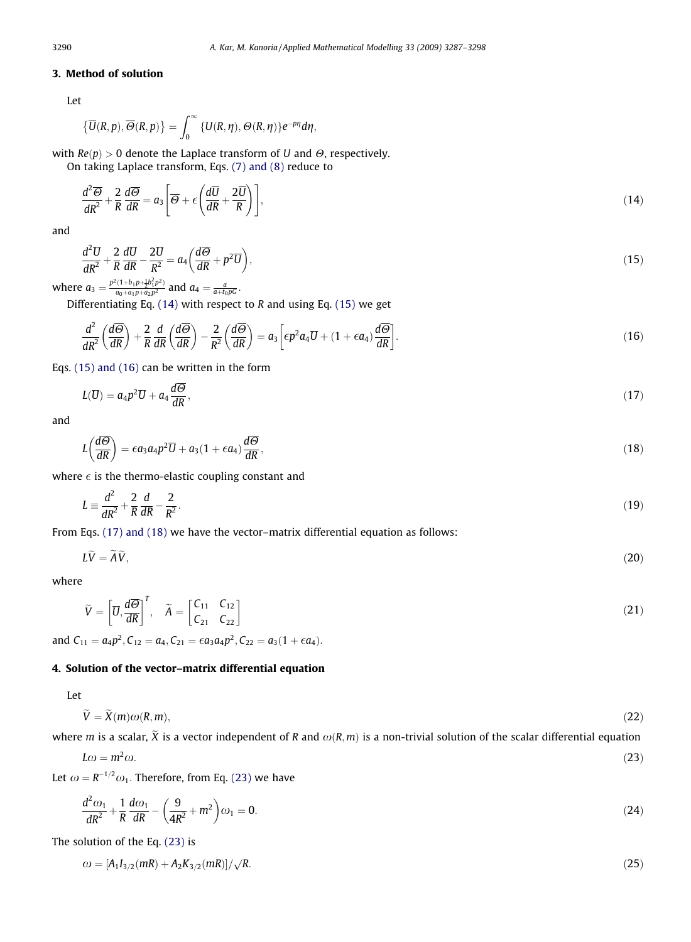## <span id="page-3-0"></span>3. Method of solution

Let

$$
\{\overline{U}(R,p),\overline{\Theta}(R,p)\}=\int_0^\infty \{U(R,\eta),\Theta(R,\eta)\}e^{-p\eta}d\eta,
$$

with  $Re(p) > 0$  denote the Laplace transform of *U* and  $\Theta$ , respectively. On taking Laplace transform, Eqs. (7) and (8) reduce to

$$
\frac{d^2\overline{\Theta}}{dR^2} + \frac{2}{R}\frac{d\overline{\Theta}}{dR} = a_3 \left[ \overline{\Theta} + \epsilon \left( \frac{d\overline{U}}{dR} + \frac{2\overline{U}}{R} \right) \right],\tag{14}
$$

and

$$
\frac{d^2\overline{U}}{dR^2} + \frac{2}{R}\frac{d\overline{U}}{dR} - \frac{2\overline{U}}{R^2} = a_4\left(\frac{d\overline{\Theta}}{dR} + p^2\overline{U}\right),\tag{15}
$$

where  $a_3 = \frac{p^2(1+b_1p+\frac{1}{2}b_1^2p^2)}{a_0+a_1p+a_2p^2}$  and  $a_4 = \frac{a}{a+t_0pG}$ .

Differentiating Eq. (14) with respect to *R* and using Eq. (15) we get

$$
\frac{d^2}{dR^2} \left( \frac{d\overline{\Theta}}{dR} \right) + \frac{2}{R} \frac{d}{dR} \left( \frac{d\overline{\Theta}}{dR} \right) - \frac{2}{R^2} \left( \frac{d\overline{\Theta}}{dR} \right) = a_3 \left[ \epsilon p^2 a_4 \overline{U} + (1 + \epsilon a_4) \frac{d\overline{\Theta}}{dR} \right].
$$
\n(16)

Eqs. (15) and (16) can be written in the form

$$
L(\overline{U}) = a_4 p^2 \overline{U} + a_4 \frac{d\Theta}{dR},\tag{17}
$$

and

$$
L\left(\frac{d\overline{\Theta}}{dR}\right) = \epsilon a_3 a_4 p^2 \overline{U} + a_3 (1 + \epsilon a_4) \frac{d\overline{\Theta}}{dR},\tag{18}
$$

where  $\epsilon$  is the thermo-elastic coupling constant and

$$
L \equiv \frac{d^2}{dR^2} + \frac{2}{R} \frac{d}{dR} - \frac{2}{R^2} \,. \tag{19}
$$

From Eqs. (17) and (18) we have the vector–matrix differential equation as follows:

$$
L\widetilde{V} = \widetilde{A}\widetilde{V},\tag{20}
$$

where

$$
\widetilde{V} = \left[ \overline{U}, \frac{d\overline{\Theta}}{dR} \right]^T, \quad \widetilde{A} = \left[ \begin{matrix} C_{11} & C_{12} \\ C_{21} & C_{22} \end{matrix} \right] \tag{21}
$$

and  $C_{11} = a_4 p^2$ ,  $C_{12} = a_4$ ,  $C_{21} = \epsilon a_3 a_4 p^2$ ,  $C_{22} = a_3 (1 + \epsilon a_4)$ .

## 4. Solution of the vector–matrix differential equation

Let

$$
\widetilde{V} = \widetilde{X}(m)\omega(R,m),\tag{22}
$$

where *m* is a scalar,  $\tilde{X}$  is a vector independent of *R* and  $\omega(R,m)$  is a non-trivial solution of the scalar differential equation

$$
L\omega = m^2 \omega. \tag{23}
$$

Let  $\omega = R^{-1/2}\omega_1$ . Therefore, from Eq. (23) we have

$$
\frac{d^2\omega_1}{dR^2} + \frac{1}{R}\frac{d\omega_1}{dR} - \left(\frac{9}{4R^2} + m^2\right)\omega_1 = 0.
$$
\n(24)

The solution of the Eq. (23) is

$$
\omega = [A_1 I_{3/2}(mR) + A_2 K_{3/2}(mR)] / \sqrt{R}.
$$
\n(25)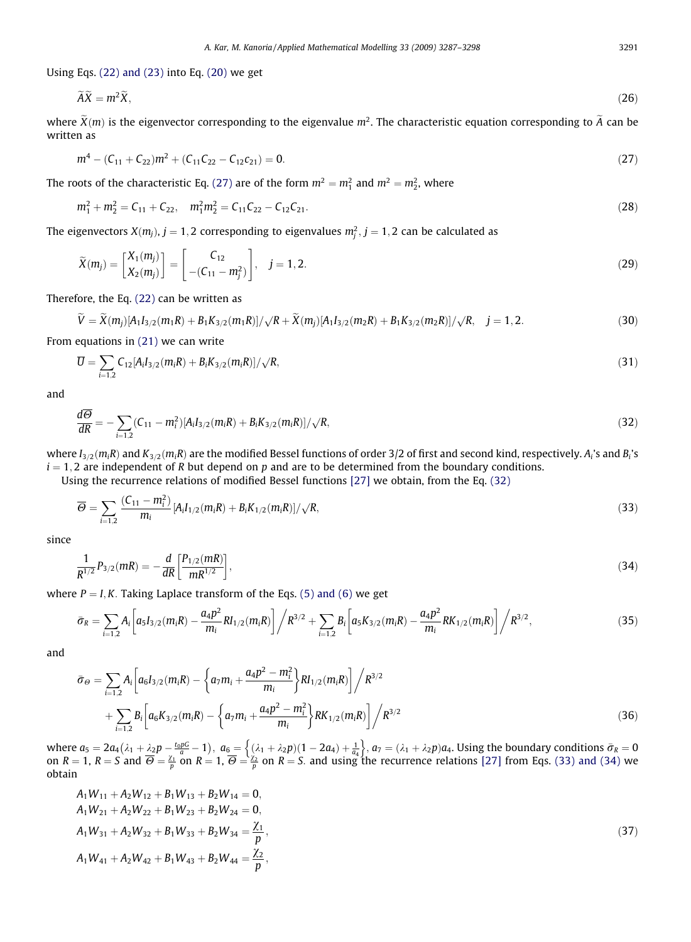<span id="page-4-0"></span>Using Eqs.  $(22)$  and  $(23)$  into Eq.  $(20)$  we get

$$
\widetilde{A}\widetilde{X} = m^2 \widetilde{X},\tag{26}
$$

where  $X(m)$  is the eigenvector corresponding to the eigenvalue  $m^2$ . The characteristic equation corresponding to A can be written as

$$
m^4 - (C_{11} + C_{22})m^2 + (C_{11}C_{22} - C_{12}C_{21}) = 0.
$$
\n(27)

The roots of the characteristic Eq. (27) are of the form  $m^2 = m_1^2$  and  $m^2 = m_2^2$ , where

$$
m_1^2 + m_2^2 = C_{11} + C_{22}, \quad m_1^2 m_2^2 = C_{11} C_{22} - C_{12} C_{21}.
$$
\n(28)

The eigenvectors  $X(m_j), j = 1, 2$  corresponding to eigenvalues  $m_j^2, j = 1, 2$  can be calculated as

$$
\widetilde{X}(m_j) = \begin{bmatrix} X_1(m_j) \\ X_2(m_j) \end{bmatrix} = \begin{bmatrix} C_{12} \\ -(C_{11} - m_j^2) \end{bmatrix}, \quad j = 1, 2.
$$
\n(29)

Therefore, the Eq. [\(22\)](#page-3-0) can be written as

$$
\widetilde{V} = \widetilde{X}(m_j)[A_1I_{3/2}(m_1R) + B_1K_{3/2}(m_1R)]/\sqrt{R} + \widetilde{X}(m_j)[A_1I_{3/2}(m_2R) + B_1K_{3/2}(m_2R)]/\sqrt{R}, \quad j = 1, 2.
$$
\n(30)

From equations in [\(21\)](#page-3-0) we can write

$$
\overline{U} = \sum_{i=1,2} C_{12} [A_i I_{3/2} (m_i R) + B_i K_{3/2} (m_i R)] / \sqrt{R},
$$
\n(31)

and

$$
\frac{d\overline{\Theta}}{dR} = -\sum_{i=1,2} (C_{11} - m_i^2) [A_i I_{3/2}(m_i R) + B_i K_{3/2}(m_i R)] / \sqrt{R},\tag{32}
$$

where  $I_{3/2}(m_iR)$  and  $K_{3/2}(m_iR)$  are the modified Bessel functions of order 3/2 of first and second kind, respectively. A<sub>i</sub>'s and B<sub>i</sub>'s  $i = 1, 2$  are independent of *R* but depend on *p* and are to be determined from the boundary conditions.

Using the recurrence relations of modified Bessel functions [\[27\]](#page-11-0) we obtain, from the Eq. (32)

$$
\overline{\Theta} = \sum_{i=1,2} \frac{(C_{11} - m_i^2)}{m_i} [A_i I_{1/2}(m_i R) + B_i K_{1/2}(m_i R)] / \sqrt{R},
$$
\n(33)

since

$$
\frac{1}{R^{1/2}}P_{3/2}(mR) = -\frac{d}{dR} \left[ \frac{P_{1/2}(mR)}{mR^{1/2}} \right],\tag{34}
$$

where  $P = I, K$ . Taking Laplace transform of the Eqs. [\(5\) and \(6\)](#page-2-0) we get

$$
\bar{\sigma}_{R} = \sum_{i=1,2} A_{i} \left[ a_{5} I_{3/2} (m_{i} R) - \frac{a_{4} p^{2}}{m_{i}} R I_{1/2} (m_{i} R) \right] / R^{3/2} + \sum_{i=1,2} B_{i} \left[ a_{5} K_{3/2} (m_{i} R) - \frac{a_{4} p^{2}}{m_{i}} R K_{1/2} (m_{i} R) \right] / R^{3/2}, \tag{35}
$$

and

$$
\bar{\sigma}_{\Theta} = \sum_{i=1,2} A_i \left[ a_6 I_{3/2} (m_i R) - \left\{ a_7 m_i + \frac{a_4 p^2 - m_i^2}{m_i} \right\} R I_{1/2} (m_i R) \right] / R^{3/2} + \sum_{i=1,2} B_i \left[ a_6 K_{3/2} (m_i R) - \left\{ a_7 m_i + \frac{a_4 p^2 - m_i^2}{m_i} \right\} R K_{1/2} (m_i R) \right] / R^{3/2}
$$
(36)

where  $a_5 = 2a_4(\lambda_1 + \lambda_2 p - \frac{t_0 p G}{a} - 1)$ ,  $a_6 = \left\{(\lambda_1 + \lambda_2 p)(1 - 2a_4) + \frac{1}{a_4}\right\}$ ,  $a_7 = (\lambda_1 + \lambda_2 p)a_4$ . Using the boundary conditions  $\bar{\sigma}_R = 0$ on  $R = 1$ ,  $R = S$  and  $\overline{\Theta} = \frac{\chi_1}{p}$  on  $R = 1$ ,  $\overline{\Theta} = \frac{\chi_2}{p}$  on  $R = S$ . and using the recurrence relations [\[27\]](#page-11-0) from Eqs. (33) and (34) we obtain

$$
A_1W_{11} + A_2W_{12} + B_1W_{13} + B_2W_{14} = 0,
$$
  
\n
$$
A_1W_{21} + A_2W_{22} + B_1W_{23} + B_2W_{24} = 0,
$$
  
\n
$$
A_1W_{31} + A_2W_{32} + B_1W_{33} + B_2W_{34} = \frac{\chi_1}{p},
$$
  
\n
$$
A_1W_{41} + A_2W_{42} + B_1W_{43} + B_2W_{44} = \frac{\chi_2}{p},
$$
\n(37)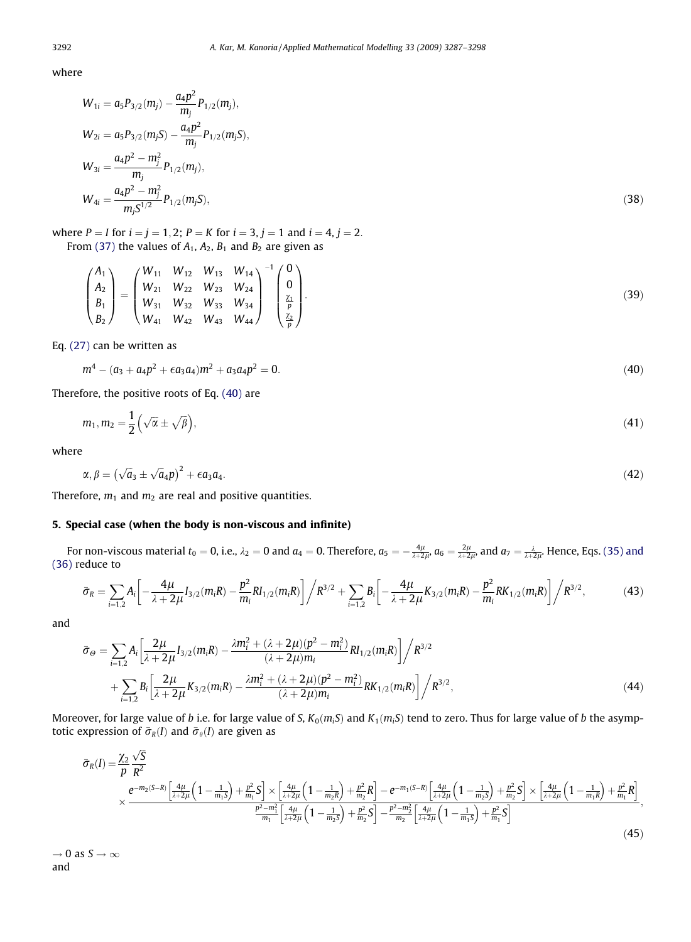where

$$
W_{1i} = a_5 P_{3/2}(m_j) - \frac{a_4 p^2}{m_j} P_{1/2}(m_j),
$$
  
\n
$$
W_{2i} = a_5 P_{3/2}(m_j S) - \frac{a_4 p^2}{m_j} P_{1/2}(m_j S),
$$
  
\n
$$
W_{3i} = \frac{a_4 p^2 - m_j^2}{m_j} P_{1/2}(m_j),
$$
  
\n
$$
W_{4i} = \frac{a_4 p^2 - m_j^2}{m_j S^{1/2}} P_{1/2}(m_j S),
$$
\n(38)

where  $P = I$  for  $i = j = 1, 2$ ;  $P = K$  for  $i = 3, j = 1$  and  $i = 4, j = 2$ . From [\(37\)](#page-4-0) the values of  $A_1$ ,  $A_2$ ,  $B_1$  and  $B_2$  are given as

$$
\begin{pmatrix} A_1 \ A_2 \ B_1 \ B_2 \end{pmatrix} = \begin{pmatrix} W_{11} & W_{12} & W_{13} & W_{14} \ W_{21} & W_{22} & W_{23} & W_{24} \ W_{31} & W_{32} & W_{33} & W_{34} \ W_{41} & W_{42} & W_{43} & W_{44} \end{pmatrix}^{-1} \begin{pmatrix} 0 \ 0 \ \frac{\chi_1}{\chi} \ \frac{\chi_2}{\chi} \ \frac{\chi_3}{\chi} \ \frac{\chi_4}{\chi} \end{pmatrix}.
$$
\n(39)

Eq. [\(27\)](#page-4-0) can be written as

$$
m^4 - (a_3 + a_4p^2 + \epsilon a_3a_4)m^2 + a_3a_4p^2 = 0.
$$
\n(40)

Therefore, the positive roots of Eq. (40) are

$$
m_1, m_2 = \frac{1}{2} \left( \sqrt{\alpha} \pm \sqrt{\beta} \right), \tag{41}
$$

where

$$
\alpha, \beta = \left(\sqrt{a_3} \pm \sqrt{a_4 p}\right)^2 + \epsilon a_3 a_4. \tag{42}
$$

Therefore,  $m_1$  and  $m_2$  are real and positive quantities.

## 5. Special case (when the body is non-viscous and infinite)

For non-viscous material  $t_0 = 0$ , i.e.,  $\lambda_2 = 0$  and  $a_4 = 0$ . Therefore,  $a_5 = -\frac{4\mu}{\lambda + 2\mu}$ ,  $a_6 = \frac{2\mu}{\lambda + 2\mu}$ , and  $a_7 = \frac{\lambda}{\lambda + 2\mu}$ . Hence, Eqs. [\(35\) and](#page-4-0) [\(36\)](#page-4-0) reduce to

$$
\bar{\sigma}_R = \sum_{i=1,2} A_i \left[ -\frac{4\mu}{\lambda + 2\mu} I_{3/2}(m_i R) - \frac{p^2}{m_i} R I_{1/2}(m_i R) \right] / R^{3/2} + \sum_{i=1,2} B_i \left[ -\frac{4\mu}{\lambda + 2\mu} K_{3/2}(m_i R) - \frac{p^2}{m_i} R K_{1/2}(m_i R) \right] / R^{3/2},\tag{43}
$$

and

$$
\bar{\sigma}_{\Theta} = \sum_{i=1,2} A_i \left[ \frac{2\mu}{\lambda + 2\mu} I_{3/2}(m_i R) - \frac{\lambda m_i^2 + (\lambda + 2\mu)(p^2 - m_i^2)}{(\lambda + 2\mu)m_i} R I_{1/2}(m_i R) \right] / R^{3/2} + \sum_{i=1,2} B_i \left[ \frac{2\mu}{\lambda + 2\mu} K_{3/2}(m_i R) - \frac{\lambda m_i^2 + (\lambda + 2\mu)(p^2 - m_i^2)}{(\lambda + 2\mu)m_i} R K_{1/2}(m_i R) \right] / R^{3/2},
$$
\n(44)

Moreover, for large value of *b* i.e. for large value of *S*,  $K_0(m_iS)$  and  $K_1(m_iS)$  tend to zero. Thus for large value of *b* the asymptotic expression of  $\bar{\sigma}_R(I)$  and  $\bar{\sigma}_\theta(I)$  are given as

$$
\bar{\sigma}_{R}(I) = \frac{\chi_{2}}{p} \frac{\sqrt{S}}{R^{2}}
$$
\n
$$
\times \frac{e^{-m_{2}(S-R)}\left[\frac{4\mu}{\lambda+2\mu}\left(1-\frac{1}{m_{1}S}\right)+\frac{p^{2}}{m_{1}}S\right] \times \left[\frac{4\mu}{\lambda+2\mu}\left(1-\frac{1}{m_{2}R}\right)+\frac{p^{2}}{m_{2}}R\right]-e^{-m_{1}(S-R)}\left[\frac{4\mu}{\lambda+2\mu}\left(1-\frac{1}{m_{2}S}\right)+\frac{p^{2}}{m_{2}}S\right] \times \left[\frac{4\mu}{\lambda+2\mu}\left(1-\frac{1}{m_{1}S}\right)+\frac{p^{2}}{m_{1}}R\right]}{\frac{p^{2}-m_{1}^{2}}{m_{1}}\left[\frac{4\mu}{\lambda+2\mu}\left(1-\frac{1}{m_{2}S}\right)+\frac{p^{2}}{m_{2}}S\right]-\frac{p^{2}-m_{2}^{2}}{m_{2}}\left[\frac{4\mu}{\lambda+2\mu}\left(1-\frac{1}{m_{1}S}\right)+\frac{p^{2}}{m_{1}}S\right]} \tag{45}
$$

 $\rightarrow$  0 as *S*  $\rightarrow \infty$ and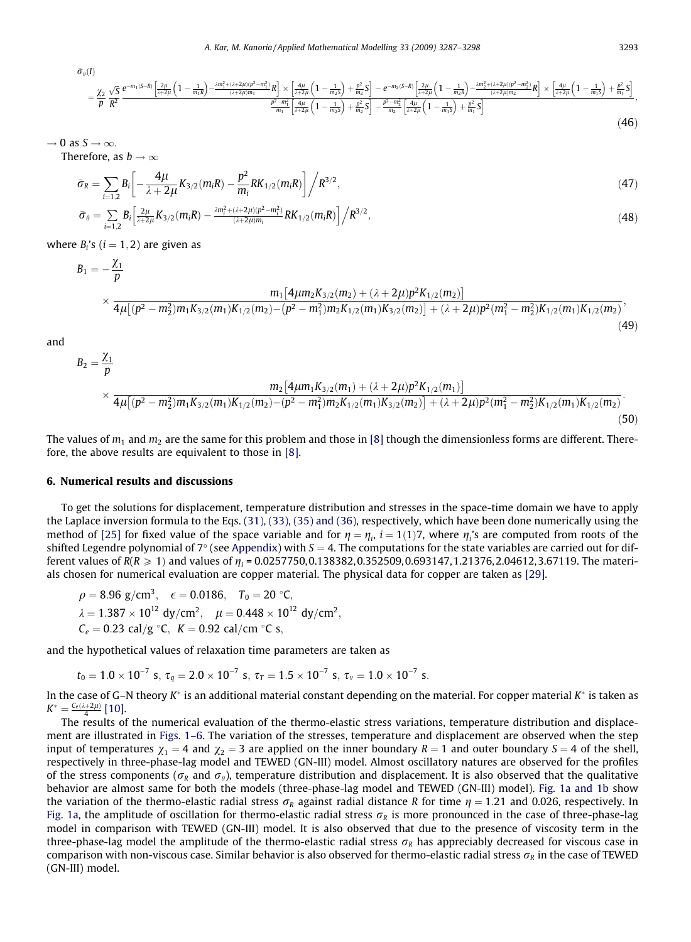$\bar{\sigma}_{\theta}(I)$ 

$$
=\frac{\chi_2}{p}\frac{\sqrt{S}}{R^2}\frac{e^{-m_1(S-R)}\left[\frac{2\mu}{2+2\mu}\left(1-\frac{1}{m_1R}\right)-\frac{\lambda m_1^2+(\lambda+2\mu)(p^2-m_1^2)}{(\lambda+2\mu)m_1}R\right]\times\left[\frac{4\mu}{2+2\mu}\left(1-\frac{1}{m_2S}\right)+\frac{p^2}{m_2}S\right]-e^{-m_2(S-R)}\left[\frac{2\mu}{\lambda+2\mu}\left(1-\frac{1}{m_2R}\right)-\frac{\lambda m_2^2+(\lambda+2\mu)(p^2-m_2^2)}{(\lambda+2\mu)m_2}R\right]\times\left[\frac{4\mu}{2+2\mu}\left(1-\frac{1}{m_1S}\right)+\frac{p^2}{m_1}S\right]}{\frac{p^2-m_1^2}{m_1}\left[\frac{4\mu}{\lambda+2\mu}\left(1-\frac{1}{m_2S}\right)+\frac{p^2}{m_2}S\right]-\frac{p^2-m_2^2}{m_2}\left[\frac{4\mu}{\lambda+2\mu}\left(1-\frac{1}{m_1S}\right)+\frac{p^2}{m_1}S\right]}{(46)}.
$$
\n
$$
(46)
$$

 $\rightarrow$  0 as *S*  $\rightarrow \infty$ . Therefore, as  $b \to \infty$ 

$$
\bar{\sigma}_R = \sum_{i=1,2} B_i \left[ -\frac{4\mu}{\lambda + 2\mu} K_{3/2}(m_i R) - \frac{p^2}{m_i} R K_{1/2}(m_i R) \right] / R^{3/2},\tag{47}
$$

$$
\bar{\sigma}_{\theta} = \sum_{i=1,2} B_i \left[ \frac{2\mu}{\lambda + 2\mu} K_{3/2} (m_i R) - \frac{\lambda m_i^2 + (\lambda + 2\mu)(p^2 - m_i^2)}{(\lambda + 2\mu)m_i} R K_{1/2} (m_i R) \right] / R^{3/2}, \tag{48}
$$

where  $B_i$ 's  $(i = 1, 2)$  are given as

$$
B_1 = -\frac{\chi_1}{p}
$$
  
\$\times \frac{m\_1 [4\mu m\_2 K\_{3/2}(m\_2) + (\lambda + 2\mu)p^2 K\_{1/2}(m\_2)] \times 4\mu [(p^2 - m\_2^2)m\_1 K\_{3/2}(m\_1)K\_{1/2}(m\_2) - (p^2 - m\_1^2)m\_2 K\_{1/2}(m\_1)K\_{3/2}(m\_2)] + (\lambda + 2\mu)p^2(m\_1^2 - m\_2^2)K\_{1/2}(m\_1)K\_{1/2}(m\_2)},\n(49)

and

$$
B_2 = \frac{\chi_1}{p}
$$
  
\n
$$
\times \frac{m_2 [4\mu m_1 K_{3/2}(m_1) + (\lambda + 2\mu)p^2 K_{1/2}(m_1)]}{4\mu [(p^2 - m_2^2)m_1 K_{3/2}(m_1)K_{1/2}(m_2) - (p^2 - m_1^2)m_2 K_{1/2}(m_1)K_{3/2}(m_2)] + (\lambda + 2\mu)p^2 (m_1^2 - m_2^2)K_{1/2}(m_1)K_{1/2}(m_2)}
$$
\n(50)

The values of  $m_1$  and  $m_2$  are the same for this problem and those in [\[8\]](#page-10-0) though the dimensionless forms are different. Therefore, the above results are equivalent to those in [\[8\]](#page-10-0).

#### 6. Numerical results and discussions

To get the solutions for displacement, temperature distribution and stresses in the space-time domain we have to apply the Laplace inversion formula to the Eqs. [\(31\), \(33\), \(35\) and \(36\),](#page-4-0) respectively, which have been done numerically using the method of [\[25\]](#page-11-0) for fixed value of the space variable and for  $\eta = \eta_i$ ,  $i = 1(1)7$ , where  $\eta_i$ 's are computed from roots of the shifted Legendre polynomial of  $7^{\circ}$  (see [Appendix\)](#page-10-0) with  $S = 4$ . The computations for the state variables are carried out for different values of  $R(R \ge 1)$  and values of  $\eta_i$  = 0.0257750, 0.138382, 0.352509, 0.693147, 1.21376, 2.04612, 3.67119. The materials chosen for numerical evaluation are copper material. The physical data for copper are taken as [\[29\].](#page-11-0)

$$
\rho = 8.96 \text{ g/cm}^3, \quad \epsilon = 0.0186, \quad T_0 = 20 \text{ °C},
$$
  
\n
$$
\lambda = 1.387 \times 10^{12} \text{ dy/cm}^2, \quad \mu = 0.448 \times 10^{12} \text{ dy/cm}^2,
$$
  
\n
$$
C_e = 0.23 \text{ cal/g } ^{\circ}C, \quad K = 0.92 \text{ cal/cm } ^{\circ}C \text{ s},
$$

and the hypothetical values of relaxation time parameters are taken as

$$
t_0 = 1.0 \times 10^{-7}
$$
 s,  $\tau_q = 2.0 \times 10^{-7}$  s,  $\tau_T = 1.5 \times 10^{-7}$  s,  $\tau_v = 1.0 \times 10^{-7}$  s.

In the case of G–N theory K\* is an additional material constant depending on the material. For copper material K\* is taken as  $K^* = \frac{C_e(\lambda + 2\mu)}{4}$  [\[10\].](#page-10-0)

The results of the numerical evaluation of the thermo-elastic stress variations, temperature distribution and displacement are illustrated in [Figs. 1–6.](#page-7-0) The variation of the stresses, temperature and displacement are observed when the step input of temperatures  $\chi_1 = 4$  and  $\chi_2 = 3$  are applied on the inner boundary  $R = 1$  and outer boundary  $S = 4$  of the shell, respectively in three-phase-lag model and TEWED (GN-III) model. Almost oscillatory natures are observed for the profiles of the stress components ( $\sigma_R$  and  $\sigma_q$ ), temperature distribution and displacement. It is also observed that the qualitative behavior are almost same for both the models (three-phase-lag model and TEWED (GN-III) model). [Fig. 1a and 1b](#page-7-0) show the variation of the thermo-elastic radial stress  $\sigma_R$  against radial distance *R* for time  $\eta = 1.21$  and 0.026, respectively. In [Fig. 1a,](#page-7-0) the amplitude of oscillation for thermo-elastic radial stress  $\sigma_R$  is more pronounced in the case of three-phase-lag model in comparison with TEWED (GN-III) model. It is also observed that due to the presence of viscosity term in the three-phase-lag model the amplitude of the thermo-elastic radial stress  $\sigma_R$  has appreciably decreased for viscous case in comparison with non-viscous case. Similar behavior is also observed for thermo-elastic radial stress  $\sigma_R$  in the case of TEWED (GN-III) model.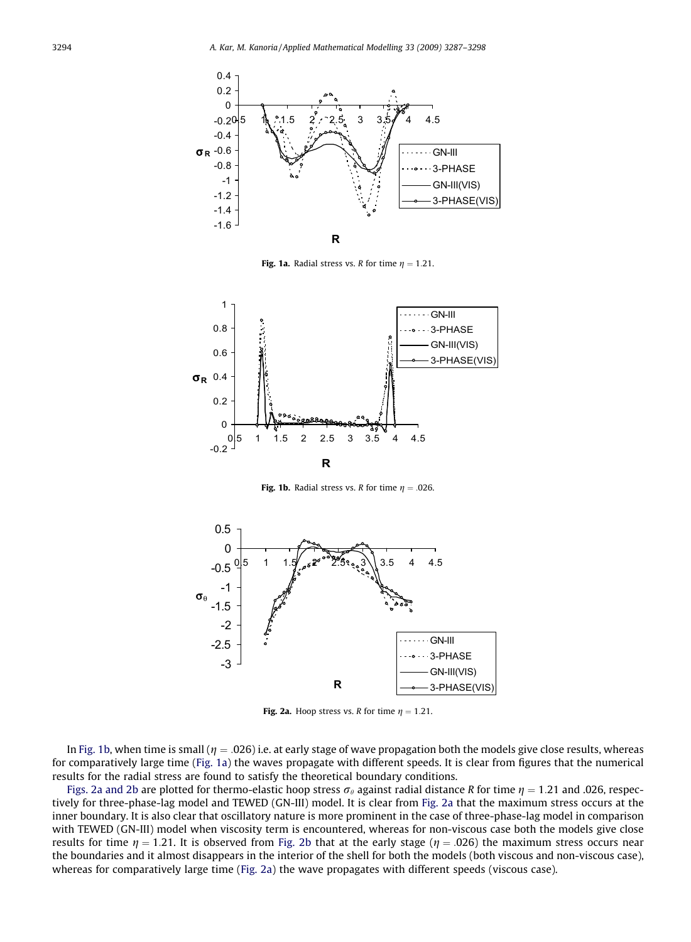<span id="page-7-0"></span>

Fig. 1a. Radial stress vs. *R* for time  $\eta = 1.21$ .



Fig. 1b. Radial stress vs. *R* for time  $\eta = .026$ .



Fig. 2a. Hoop stress vs. *R* for time  $\eta = 1.21$ .

In Fig. 1b, when time is small ( $\eta = 0.026$ ) i.e. at early stage of wave propagation both the models give close results, whereas for comparatively large time (Fig. 1a) the waves propagate with different speeds. It is clear from figures that the numerical results for the radial stress are found to satisfy the theoretical boundary conditions.

Figs. 2a and 2b are plotted for thermo-elastic hoop stress  $\sigma_\theta$  against radial distance *R* for time  $\eta = 1.21$  and .026, respectively for three-phase-lag model and TEWED (GN-III) model. It is clear from Fig. 2a that the maximum stress occurs at the inner boundary. It is also clear that oscillatory nature is more prominent in the case of three-phase-lag model in comparison with TEWED (GN-III) model when viscosity term is encountered, whereas for non-viscous case both the models give close results for time  $\eta = 1.21$ . It is observed from [Fig. 2b](#page-8-0) that at the early stage ( $\eta = .026$ ) the maximum stress occurs near the boundaries and it almost disappears in the interior of the shell for both the models (both viscous and non-viscous case), whereas for comparatively large time (Fig. 2a) the wave propagates with different speeds (viscous case).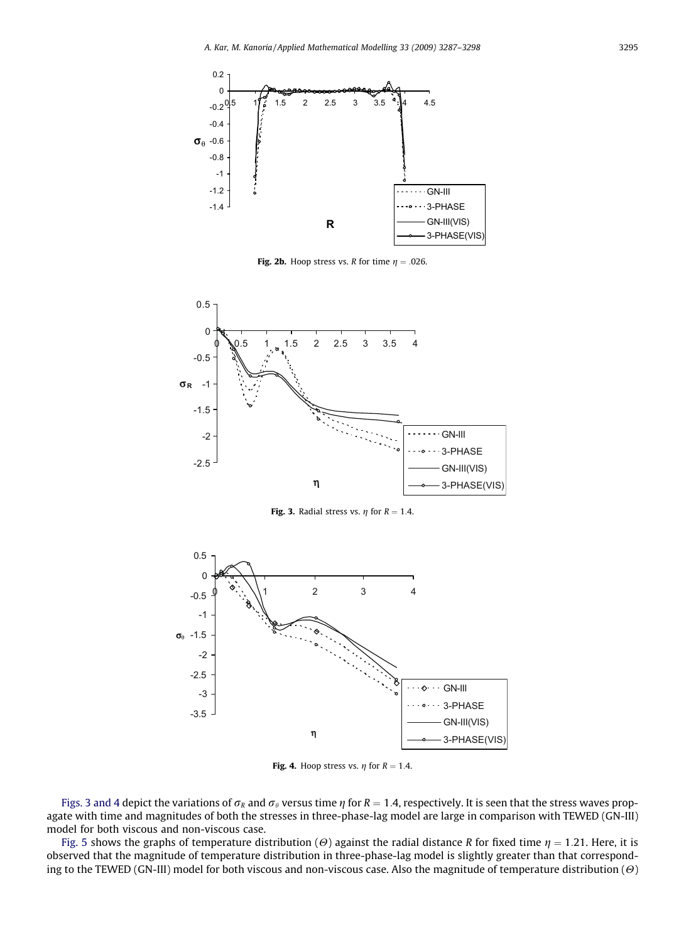<span id="page-8-0"></span>

Fig. 2b. Hoop stress vs. *R* for time  $\eta = .026$ .



Fig. 3. Radial stress vs.  $\eta$  for  $R = 1.4$ .



Fig. 4. Hoop stress vs.  $\eta$  for  $R = 1.4$ .

Figs. 3 and 4 depict the variations of  $\sigma_R$  and  $\sigma_\theta$  versus time  $\eta$  for  $R = 1.4$ , respectively. It is seen that the stress waves propagate with time and magnitudes of both the stresses in three-phase-lag model are large in comparison with TEWED (GN-III) model for both viscous and non-viscous case.

[Fig. 5](#page-9-0) shows the graphs of temperature distribution ( $\Theta$ ) against the radial distance *R* for fixed time  $\eta = 1.21$ . Here, it is observed that the magnitude of temperature distribution in three-phase-lag model is slightly greater than that corresponding to the TEWED (GN-III) model for both viscous and non-viscous case. Also the magnitude of temperature distribution ( $\Theta$ )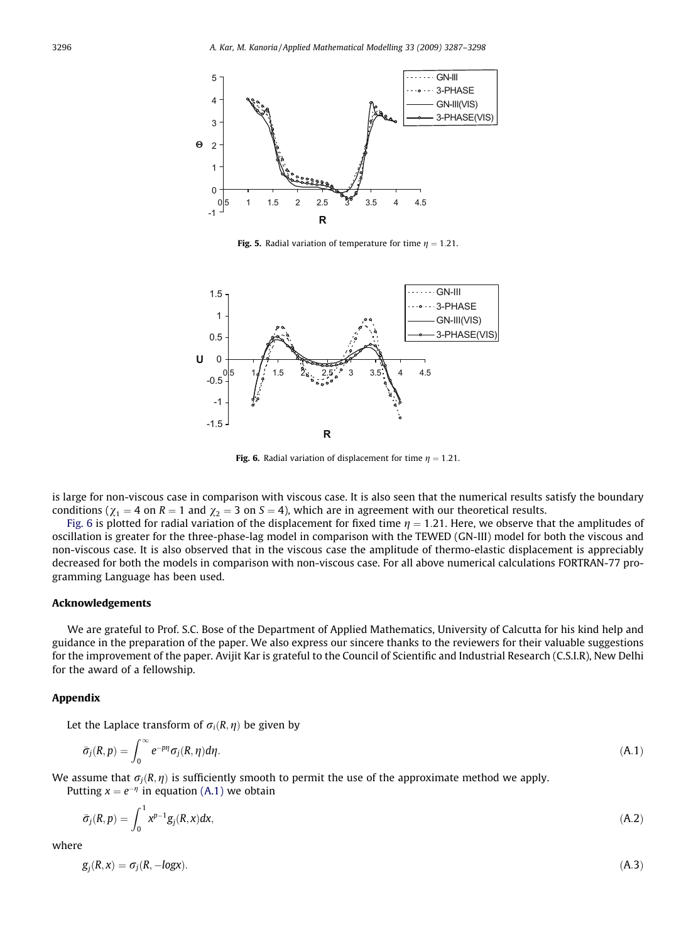<span id="page-9-0"></span>

**Fig. 5.** Radial variation of temperature for time  $\eta = 1.21$ .



Fig. 6. Radial variation of displacement for time  $\eta = 1.21$ .

is large for non-viscous case in comparison with viscous case. It is also seen that the numerical results satisfy the boundary conditions ( $\chi_1 = 4$  on  $R = 1$  and  $\chi_2 = 3$  on  $S = 4$ ), which are in agreement with our theoretical results.

Fig. 6 is plotted for radial variation of the displacement for fixed time  $\eta = 1.21$ . Here, we observe that the amplitudes of oscillation is greater for the three-phase-lag model in comparison with the TEWED (GN-III) model for both the viscous and non-viscous case. It is also observed that in the viscous case the amplitude of thermo-elastic displacement is appreciably decreased for both the models in comparison with non-viscous case. For all above numerical calculations FORTRAN-77 programming Language has been used.

#### Acknowledgements

We are grateful to Prof. S.C. Bose of the Department of Applied Mathematics, University of Calcutta for his kind help and guidance in the preparation of the paper. We also express our sincere thanks to the reviewers for their valuable suggestions for the improvement of the paper. Avijit Kar is grateful to the Council of Scientific and Industrial Research (C.S.I.R), New Delhi for the award of a fellowship.

#### Appendix

Let the Laplace transform of  $\sigma_i(R, \eta)$  be given by

$$
\bar{\sigma}_j(R,p) = \int_0^\infty e^{-p\eta} \sigma_j(R,\eta) d\eta. \tag{A.1}
$$

We assume that  $\sigma_j(R,\eta)$  is sufficiently smooth to permit the use of the approximate method we apply.

Putting  $x = e^{-\eta}$  in equation (A.1) we obtain

$$
\bar{\sigma}_j(R,p) = \int_0^1 x^{p-1} g_j(R,x) dx, \tag{A.2}
$$

where

$$
g_j(R,x) = \sigma_j(R, -\log x). \tag{A.3}
$$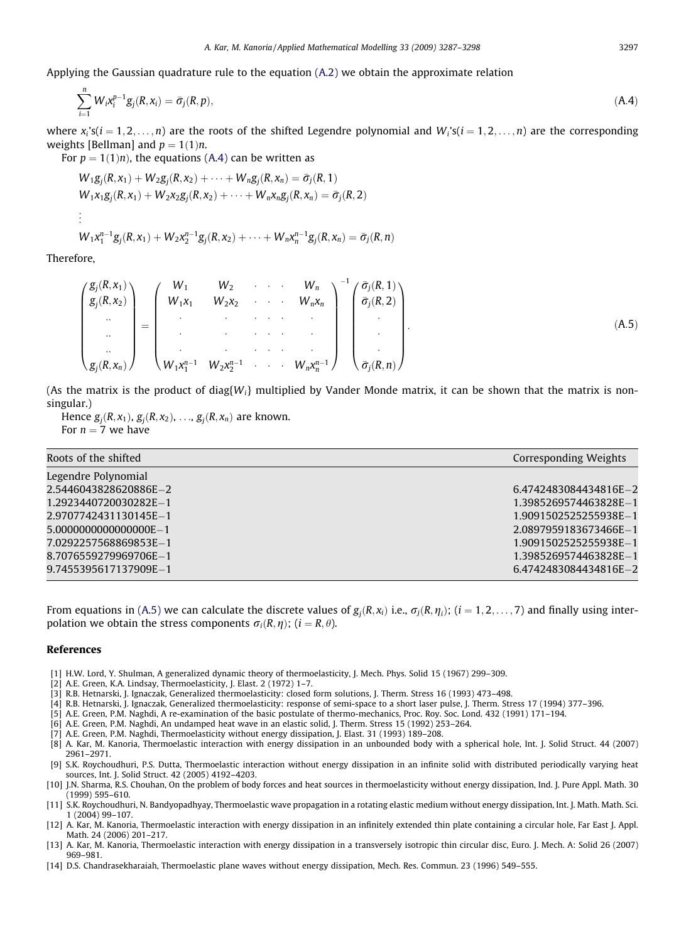<span id="page-10-0"></span>Applying the Gaussian quadrature rule to the equation [\(A.2\)](#page-9-0) we obtain the approximate relation

$$
\sum_{i=1}^{n} W_{i} x_{i}^{p-1} g_{j}(R, x_{i}) = \bar{\sigma}_{j}(R, p), \qquad (A.4)
$$

where  $x_i$ 's( $i = 1, 2, ..., n$ ) are the roots of the shifted Legendre polynomial and  $W_i$ 's( $i = 1, 2, ..., n$ ) are the corresponding weights [Bellman] and  $p = 1(1)n$ .

For  $p = 1(1)n$ , the equations (A.4) can be written as

$$
W_1g_j(R, x_1) + W_2g_j(R, x_2) + \cdots + W_ng_j(R, x_n) = \bar{\sigma}_j(R, 1)
$$
  
\n
$$
W_1x_1g_j(R, x_1) + W_2x_2g_j(R, x_2) + \cdots + W_nx_ng_j(R, x_n) = \bar{\sigma}_j(R, 2)
$$
  
\n:  
\n
$$
W_1x_1^{n-1}g_j(R, x_1) + W_2x_2^{n-1}g_j(R, x_2) + \cdots + W_nx_n^{n-1}g_j(R, x_n) = \bar{\sigma}_j(R, n)
$$

Therefore,

$$
\begin{pmatrix} g_j(R, x_1) \\ g_j(R, x_2) \\ \vdots \\ g_j(R, x_n) \end{pmatrix} = \begin{pmatrix} W_1 & W_2 & \cdots & W_n \\ W_1x_1 & W_2x_2 & \cdots & W_nx_n \\ \vdots & \vdots & \ddots & \vdots \\ W_1x_1^{n-1} & W_2x_2^{n-1} & \cdots & W_nx_n^{n-1} \end{pmatrix}^{-1} \begin{pmatrix} \bar{\sigma}_j(R, 1) \\ \bar{\sigma}_j(R, 2) \\ \vdots \\ \bar{\sigma}_j(R, n) \end{pmatrix}.
$$
 (A.5)

(As the matrix is the product of diag{ $W_i$ } multiplied by Vander Monde matrix, it can be shown that the matrix is nonsingular.)

 $H$ ence  $g_j(R, x_1)$ ,  $g_j(R, x_2)$ , ...,  $g_j(R, x_n)$  are known. For  $n = 7$  we have

| Roots of the shifted  | Corresponding Weights |
|-----------------------|-----------------------|
| Legendre Polynomial   |                       |
| 2.5446043828620886E-2 | 6.4742483084434816E-2 |
| 1.2923440720030282E-1 | 1.3985269574463828E-1 |
| 2.9707742431130145E-1 | 1.9091502525255938E-1 |
| 5.0000000000000000E-1 | 2.0897959183673466E-1 |
| 7.0292257568869853E-1 | 1.9091502525255938E-1 |
| 8.7076559279969706E-1 | 1.3985269574463828E-1 |
| 9.7455395617137909E-1 | 6.4742483084434816E-2 |

From equations in (A.5) we can calculate the discrete values of  $g_j(R, x_i)$  i.e.,  $\sigma_j(R, \eta_i)$ ; ( $i = 1, 2, ..., 7$ ) and finally using interpolation we obtain the stress components  $\sigma_i(R, \eta)$ ; (*i* = *R*,  $\theta$ ).

#### References

- [1] H.W. Lord, Y. Shulman, A generalized dynamic theory of thermoelasticity, J. Mech. Phys. Solid 15 (1967) 299–309.
- [2] A.E. Green, K.A. Lindsay, Thermoelasticity, J. Elast. 2 (1972) 1–7.
- [3] R.B. Hetnarski, J. Ignaczak, Generalized thermoelasticity: closed form solutions, J. Therm. Stress 16 (1993) 473–498.
- [4] R.B. Hetnarski, J. Ignaczak, Generalized thermoelasticity: response of semi-space to a short laser pulse, J. Therm. Stress 17 (1994) 377–396.
- [5] A.E. Green, P.M. Naghdi, A re-examination of the basic postulate of thermo-mechanics, Proc. Roy. Soc. Lond. 432 (1991) 171–194.
- [6] A.E. Green, P.M. Naghdi, An undamped heat wave in an elastic solid, J. Therm. Stress 15 (1992) 253–264.
- [7] A.E. Green, P.M. Naghdi, Thermoelasticity without energy dissipation, J. Elast. 31 (1993) 189–208.
- [8] A. Kar, M. Kanoria, Thermoelastic interaction with energy dissipation in an unbounded body with a spherical hole, Int. J. Solid Struct. 44 (2007) 2961–2971.
- [9] S.K. Roychoudhuri, P.S. Dutta, Thermoelastic interaction without energy dissipation in an infinite solid with distributed periodically varying heat sources, Int. J. Solid Struct. 42 (2005) 4192–4203.
- [10] J.N. Sharma, R.S. Chouhan, On the problem of body forces and heat sources in thermoelasticity without energy dissipation, Ind. J. Pure Appl. Math. 30 (1999) 595–610.
- [11] S.K. Roychoudhuri, N. Bandyopadhyay, Thermoelastic wave propagation in a rotating elastic medium without energy dissipation, Int. J. Math. Math. Sci. 1 (2004) 99–107.
- [12] A. Kar, M. Kanoria, Thermoelastic interaction with energy dissipation in an infinitely extended thin plate containing a circular hole, Far East J. Appl. Math. 24 (2006) 201–217.
- [13] A. Kar, M. Kanoria, Thermoelastic interaction with energy dissipation in a transversely isotropic thin circular disc, Euro. J. Mech. A: Solid 26 (2007) 969–981.
- [14] D.S. Chandrasekharaiah, Thermoelastic plane waves without energy dissipation, Mech. Res. Commun. 23 (1996) 549–555.